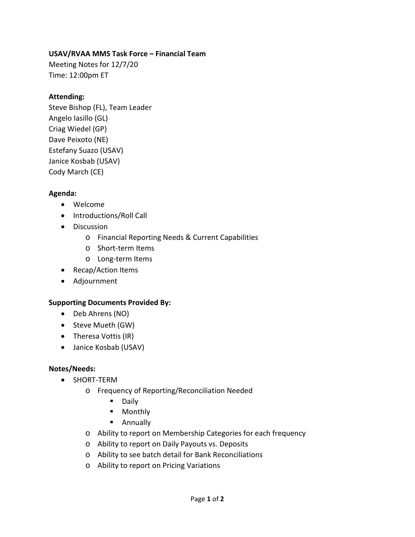# **USAV/RVAA MMS Task Force – Financial Team**

Meeting Notes for 12/7/20 Time: 12:00pm ET

## **Attending:**

Steve Bishop (FL), Team Leader Angelo Iasillo (GL) Criag Wiedel (GP) Dave Peixoto (NE) Estefany Suazo (USAV) Janice Kosbab (USAV) Cody March (CE)

### **Agenda:**

- Welcome
- Introductions/Roll Call
- Discussion
	- o Financial Reporting Needs & Current Capabilities
	- o Short-term Items
	- o Long-term Items
- Recap/Action Items
- Adjournment

### **Supporting Documents Provided By:**

- Deb Ahrens (NO)
- Steve Mueth (GW)
- Theresa Vottis (IR)
- Janice Kosbab (USAV)

### **Notes/Needs:**

- SHORT-TERM
	- o Frequency of Reporting/Reconciliation Needed
		- **Daily**
		- **•** Monthly
		- **Annually**
	- o Ability to report on Membership Categories for each frequency
	- o Ability to report on Daily Payouts vs. Deposits
	- o Ability to see batch detail for Bank Reconciliations
	- o Ability to report on Pricing Variations